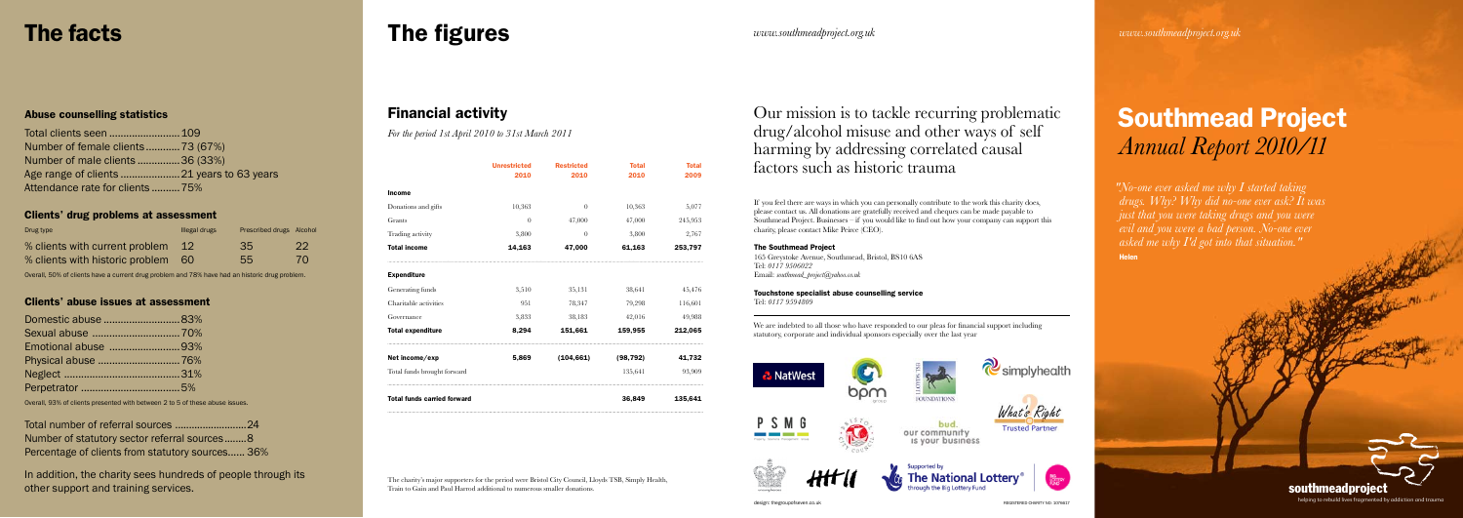|                                    | <b>Unrestricted</b><br>2010 | <b>Restricted</b><br>2010 | <b>Total</b><br>2010 | <b>Total</b><br>2009 |
|------------------------------------|-----------------------------|---------------------------|----------------------|----------------------|
| <b>Income</b>                      |                             |                           |                      |                      |
| Donations and gifts                | 10,363                      | $\overline{0}$            | 10,363               | 5,077                |
| Grants                             | $\Omega$                    | 47,000                    | 47,000               | 245,953              |
| Trading activity                   | 3,800                       | $\Omega$                  | 3,800                | 2,767                |
| <b>Total income</b>                | 14,163                      | 47,000                    | 61,163               | 253,797              |
| <b>Expenditure</b>                 |                             |                           |                      |                      |
| Generating funds                   | 3,510                       | 35,131                    | 38,641               | 45,476               |
| Charitable activities              | 951                         | 78,347                    | 79,298               | 116,601              |
| Governance                         | 3,833                       | 38,183                    | 42,016               | 49,988               |
| <b>Total expenditure</b>           | 8,294                       | 151,661                   | 159,955              | 212,065              |
| Net income/exp                     | 5,869                       | (104, 661)                | (98, 792)            | 41,732               |
| Total funds brought forward        |                             |                           | 135,641              | 93,909               |
| <b>Total funds carried forward</b> |                             | 36,849                    | 135,641              |                      |





#### Financial activity

*For the period 1st April 2010 to 31st March 2011*

The charity's major supporters for the period were Bristol City Council, Lloyds TSB, Simply Health, Train to Gain and Paul Harrod additional to numerous smaller donations.

If you feel there are ways in which you can personally contribute to the work this charity does, please contact us. All donations are gratefully received and cheques can be made payable to Southmead Project. Businesses – if you would like to find out how your company can support this charity, please contact Mike Peirce (CEO).

#### The Southmead Project

165 Greystoke Avenue, Southmead, Bristol, BS10 6AS Tel: *0117 9506022* Email: *southmead\_project@yahoo.co.uk*

Touchstone specialist abuse counselling service Tel: *0117 9594809*

## Southmead Project *Annual Report 2010/11*

helping to rebuild lives fragmented by addiction and trauma

*www.southmeadproject.org.uk www.southmeadproject.org.uk*

  *"No-one ever asked me why I started taking drugs. Why? Why did no-one ever ask? It was just that you were taking drugs and you were evil and you were a bad person. No-one ever asked me why I'd got into that situation."*  Helen

southmeadproject

#### Abuse counselling statistics

| Number of female clients73 (67%) |  |
|----------------------------------|--|
| Number of male clients 36 (33%)  |  |
|                                  |  |
| Attendance rate for clients 75%  |  |

#### Clients' drug problems at assessment

| Drug type                       | Illegal drugs | Prescribed drugs Alcohol |     |
|---------------------------------|---------------|--------------------------|-----|
| % clients with current problem  |               | -35                      | -22 |
| % clients with historic problem | <b>60</b>     | 55                       | 70  |

Overall, 50% of clients have a current drug problem and 78% have had an historic drug problem.

#### Clients' abuse issues at assessment

| Domestic abuse 83%  |  |
|---------------------|--|
|                     |  |
| Emotional abuse 93% |  |
|                     |  |
|                     |  |
|                     |  |

Overall, 93% of clients presented with between 2 to 5 of these abuse issues.

| Number of statutory sector referral sources8     |  |
|--------------------------------------------------|--|
| Percentage of clients from statutory sources 36% |  |

In addition, the charity sees hundreds of people through its other support and training services.

## The facts The figures

We are indebted to all those who have responded to our pleas for financial support including statutory, corporate and individual sponsors especially over the last year

Our mission is to tackle recurring problematic drug/alcohol misuse and other ways of self harming by addressing correlated causal factors such as historic trauma